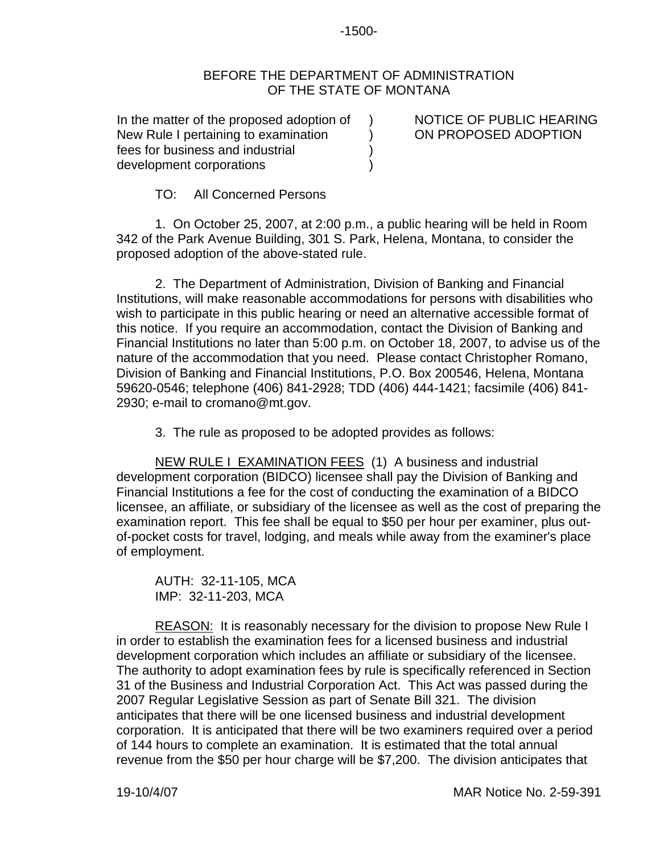## -1500-

## BEFORE THE DEPARTMENT OF ADMINISTRATION OF THE STATE OF MONTANA

)  $\lambda$ ) )

In the matter of the proposed adoption of New Rule I pertaining to examination fees for business and industrial development corporations

NOTICE OF PUBLIC HEARING ON PROPOSED ADOPTION

TO: All Concerned Persons

1. On October 25, 2007, at 2:00 p.m., a public hearing will be held in Room 342 of the Park Avenue Building, 301 S. Park, Helena, Montana, to consider the proposed adoption of the above-stated rule.

2. The Department of Administration, Division of Banking and Financial Institutions, will make reasonable accommodations for persons with disabilities who wish to participate in this public hearing or need an alternative accessible format of this notice. If you require an accommodation, contact the Division of Banking and Financial Institutions no later than 5:00 p.m. on October 18, 2007, to advise us of the nature of the accommodation that you need. Please contact Christopher Romano, Division of Banking and Financial Institutions, P.O. Box 200546, Helena, Montana 59620-0546; telephone (406) 841-2928; TDD (406) 444-1421; facsimile (406) 841- 2930; e-mail to cromano@mt.gov.

3. The rule as proposed to be adopted provides as follows:

NEW RULE I EXAMINATION FEES (1) A business and industrial development corporation (BIDCO) licensee shall pay the Division of Banking and Financial Institutions a fee for the cost of conducting the examination of a BIDCO licensee, an affiliate, or subsidiary of the licensee as well as the cost of preparing the examination report. This fee shall be equal to \$50 per hour per examiner, plus outof-pocket costs for travel, lodging, and meals while away from the examiner's place of employment.

AUTH: 32-11-105, MCA IMP: 32-11-203, MCA

REASON: It is reasonably necessary for the division to propose New Rule I in order to establish the examination fees for a licensed business and industrial development corporation which includes an affiliate or subsidiary of the licensee. The authority to adopt examination fees by rule is specifically referenced in Section 31 of the Business and Industrial Corporation Act. This Act was passed during the 2007 Regular Legislative Session as part of Senate Bill 321. The division anticipates that there will be one licensed business and industrial development corporation. It is anticipated that there will be two examiners required over a period of 144 hours to complete an examination. It is estimated that the total annual revenue from the \$50 per hour charge will be \$7,200. The division anticipates that

19-10/4/07 MAR Notice No. 2-59-391